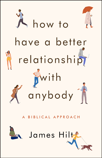

### BIBLICAL APPROACH



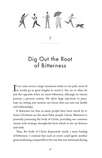

2

# Dig Out the Root of Bitterness

 $\prod$ f we came across a large venomous snake in our path, most of<br>Lus would go to great lengths to avoid it. Yet, we so often do f we came across a large venomous snake in our path, most of just the opposite when we meet bitterness, although its venom poisons a person's system. We allow large injections to penetrate us, setting into motion raw forces that can ruin our health and relationships.

It distresses me that so many people have been struck by it. Some Christians are the most bitter people I know. Bitterness is presently poisoning the body of Christ, providing our common enemy with strategic strongholds from which to stir up division and strife.

Thus, the body of Christ desperately needs a mass healing of bitterness. I contend that such an event could ignite another great awakening comparable to the one that was witnessed during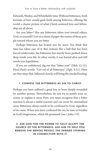Edwards, Wesley, and Whitefield's time. Without bitterness, fresh torrents of love would gush forth among believers, offering the world a clearer picture of what Christ-centered love and fellowship are all about.

Are you bitter? Has any bitterness taken root toward others, God, or yourself? List on a sheet of paper the names of those people toward whom you are bitter.

Perhaps bitterness has bound you for years. You think that time has taken care of it. But, instead, like a ball that has been forced underwater, the bitterness has merely been pushed down deep inside your life. In other words, it was buried alive and still needs true liquidation.

If you are embittered, dig out that "bitter root" (Heb. 12:15). Heed Paul's words: "Get rid of all bitterness" (Eph. 4:31). Here are four steps that, followed closely, will bring the needed healing.

#### 1. CONFESS THE BITTERNESS AS SIN TO CHRIST.

Perhaps you have suffered a great loss or been deeply wounded by another person. Nevertheless, do not try to justify your reaction or explain it away. First, you must recognize that a bitter reaction is always a sinful reaction and can never be rationalized away. Bitterness always needs to be confessed to God, regardless of its cause. When you have confessed the sin, be sure to breathe in God's forgiveness, which He promised (see 1 John 1:9).

#### 2. ASK GOD FOR THE POWER TO FULLY ACCEPT THE SOURCE OF THE BITTERNESS. ASK HIM TO HELP YOU REMOVE THE MENTAL REVOLT, THE INWARD STEWING IN CONNECTION WITH IT.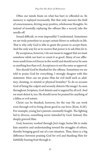Often our minds fixate on what has hurt or offended us. Its memory is replayed incessantly. But that only narrows the field of consciousness, driving away positive, wholesome thoughts. So instead of mentally replaying the offense like a record, take the needle off.

Sound difficult, or even impossible? I understand. Sometimes we are truly powerless to accept certain blows or setbacks in life. That is why only God is able to grant the power to accept them. And the only way for us to receive that power is to ask Him for it.

By acceptance, however, I do not mean to suggest that we must somehow relish our hurt or count it as good. Many of our afflictions result from evil forces in the world and should never be seen as anything less than evil. Acceptance is not the same as approval.

Nor should God be thanked for the offense. Sometimes we are told to praise God for everything. I strongly disagree with this statement. How can we praise Him for evil itself such as adultery, cheating, or mental or physical brutality? To do so accuses God of being the culprit and severely distorts His image! As seen throughout Scripture, God detests and is angered by all evil. And we must detest it, too. He should never be praised for anything of a fallen or evil nature.

Christ can be thanked, however, for the way He can work even through evil to bring about good in our lives (Rom. 8:28). For example, young Joe's parents constantly fought. The fighting led to divorce, something never intended by God. Instead, this deeply grieved Him.

God, however, worked through Joe's tragic home life to make him sensitive and understanding toward the struggles of others, thereby bringing good out of a raw situation. Thus, there is a big difference between praising God for evil and thanking Him for faithfully bearing fruit through it.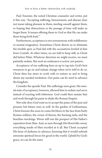Paul Tournier, the noted Christian counselor and writer, put it this way: "Accepting suffering, bereavement, and disease does not mean taking pleasure in them, steeling oneself against them, or hoping that distractions or the passage of time will make us forget them. It means offering them to God so that He can make them bring forth fruit."<sup>1</sup>

Furthermore, acceptance is not synonymous with indifference or mental resignation. Sometimes Christ directs us to eliminate the trouble spot, as Paul did with the accusations leveled at him from Corinth. At other times, we are told to keep still, as Christ did before Pilate. Whatever direction we might receive, we must patiently endure. But such an endurance is active, not passive.

Acceptance of our suffering frees us up to tap into God's best resources to go on and initiate change when we're told to do so. Christ then has more to work with to restore us and to bring about any needed resolution. Our pains can be used to advance the kingdom.

Consider the apostle Paul. His sufferings were great. His mental state of acceptance, however, allowed him to endure and serve instead of reacting with bitterness. God could then sustain him and work through his pains to shake the Roman Empire.

Not only does God want us to accept the pains of the past and present, but future ones as well. In the garden of Gethsemane, Christ foresaw the soon-to-come fist blows to the face from burly Roman soldiers, the crown of thorns, the burning nails, and the heartless mockings. Worse still was the prospect of His Father's separation from Him. And, as seen through His blood-like sweat, everything inside of Him recoiled at it all. But Christ accepted His hour of darkness in advance, knowing that it would unleash awesome spiritual forces for good in the world. Upheld by God's grace, we can do the same.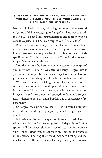#### 3. ASK CHRIST FOR THE POWER TO FORGIVE EVERYONE WHO HAS OFFENDED YOU—THOSE WHOSE ACTIONS PRECIPITATED THE BITTERNESS.

Notice in Ephesians 4 that, following the command in verse 31 to "get rid of all bitterness, rage and anger," Paul proceeded to add in verse 32: "Be kind and compassionate to one another, *forgiving each other*, just as in Christ God forgave you" (italics added).

Before we can show compassion and kindness to our offenders, we must exercise forgiveness. But relying solely on our own human resources, we are powerless to do this according to God's specifications. That is why we must ask Christ for the power to forgive. He alone holds the key.

"But the person who hurt me doesn't deserve to be forgiven," you might say. "He hasn't even said he's sorry." Forgive him in your mind, anyway. If he has truly wronged you and not yet repented, he still bears his guilt. He is still accountable to God.

We must remember that forgiveness releases the pressure of steam that can otherwise build up, causing great mental stress. It is a wonderful therapeutic device, which cleanses, heals, and brings increased love, peace, and strength to the mind. Forgiveness is therefore not a grudging burden, but an experience of relief and joy.

So forgive each person by name. If self-directed bitterness exists, do not hold a grudge against yourself. Forgive yourself as well.

Following forgiveness, the question is usually asked: Should I tell my offender they've been forgiven? It all depends on Christ's specific will. In prayer ask Him to reveal it to you. In response, Christ might direct you to approach this person and verbally make amends, knowing this would maximize healing and reconciliation. On the other hand, He might lead you to remain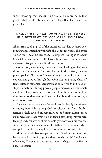silent, knowing that speaking up would do more harm than good. Whatever direction you receive, trust that it will serve the greatest good.

#### 4. ASK CHRIST TO HEAL YOU OF ALL THE BITTERNESS HELD TOWARD OTHERS, GOD, OR YOURSELF FROM YOUR PAST AND PRESENT.

Allow Him to dig up all of the bitterness that has perhaps been growing and entangling your life like a root for years. The entire "bitter root" must be removed, if complete healing is to occur. Only Christ can remove all of your bitterness—past and present—and give you a new attitude and outlook.

Confession, acceptance, forgiveness, and healing—obviously, those are simple steps. But used by the Spirit of God, they are power-packed! For years I have led many individuals, married couples, and groups through those four steps in prayer, which often resulted in remarkable transformations of minds and relationships. Sometimes during prayer, people discover an immediate and total release from bitterness. They describe a newfound freedom from bondage—something that had bound them for days, months, or years.

Such was the experience of several people already mentioned, including Ben. After asking God to release him from the bitterness he held toward his parents, God, and himself, Ben sensed an immediate release from his bondage. Before long, his vengeful feelings and acts leveled at his parents gave way to a new compassion for them. Ben began to see his father in a new light, which compelled him to open up lines of communication with him.

Along with this, Ben stopped reacting bitterly against God and began to build a new image of and relationship with Him. Instead of viewing Christ as an oppressive tyrant, he began to see Him as a trusted Friend.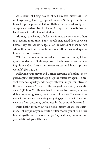As a result of being healed of self-directed bitterness, Ben no longer sought revenge against himself. No longer did he set himself up for personal failure. Rather, he pursued godly selfacceptance (as described in chapter 1), replacing the self-directed harshness with self-directed kindness.

Although the feeling of release is immediate for some, others may require more time. Some people may need days or weeks before they can acknowledge all of the names of those toward whom they hold bitterness. In such cases, they must undergo the four steps more than once.

Whether the release is immediate or slow in coming, I have great confidence in God's response to the honest prayer for healing. Surely, God "heals the brokenhearted and binds up their wounds" (Ps. 147:3).

Following your prayer and Christ's response of healing, be on guard against temptations to pick up the bitterness again. To prevent this, deal quickly and wisely with your anger. Paul stressed this when he wrote "Do not let the sun go down while you are still angry" (Eph. 4:26). Remember that unresolved anger, whether righteous or unrighteous, can turn into bitterness. Then over time you will cultivate an accepting, forgiving spirit that will help prevent you from becoming embittered by the pains of this world.

Periodically throughout this book, bitterness will be examined. If at any point you identify a bitter root in your life, be sure to undergo the four described steps. As you do so, your mind and your relationships will be healed.